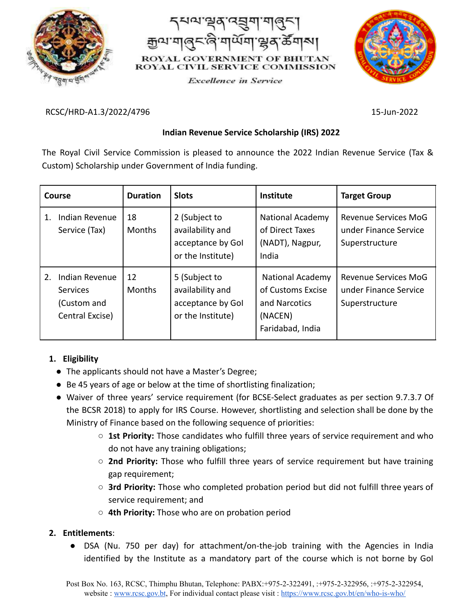



**Excellence** in Service



#### RCSC/HRD-A1.3/2022/4796 15-Jun-2022

## **Indian Revenue Service Scholarship (IRS) 2022**

The Royal Civil Service Commission is pleased to announce the 2022 Indian Revenue Service (Tax & Custom) Scholarship under Government of India funding.

| Course                                                                    | <b>Duration</b>     | <b>Slots</b>                                                                | <b>Institute</b>                                                                             | <b>Target Group</b>                                                    |
|---------------------------------------------------------------------------|---------------------|-----------------------------------------------------------------------------|----------------------------------------------------------------------------------------------|------------------------------------------------------------------------|
| Indian Revenue<br>1.<br>Service (Tax)                                     | 18<br><b>Months</b> | 2 (Subject to<br>availability and<br>acceptance by Gol<br>or the Institute) | <b>National Academy</b><br>of Direct Taxes<br>(NADT), Nagpur,<br>India                       | Revenue Services MoG<br>under Finance Service<br>Superstructure        |
| Indian Revenue<br>2.<br><b>Services</b><br>(Custom and<br>Central Excise) | 12<br><b>Months</b> | 5 (Subject to<br>availability and<br>acceptance by Gol<br>or the Institute) | <b>National Academy</b><br>of Customs Excise<br>and Narcotics<br>(NACEN)<br>Faridabad, India | <b>Revenue Services MoG</b><br>under Finance Service<br>Superstructure |

# **1. Eligibility**

- **●** The applicants should not have a Master's Degree;
- **●** Be 45 years of age or below at the time of shortlisting finalization;
- **●** Waiver of three years' service requirement (for BCSE-Select graduates as per section 9.7.3.7 Of the BCSR 2018) to apply for IRS Course. However, shortlisting and selection shall be done by the Ministry of Finance based on the following sequence of priorities:
	- **○ 1st Priority:** Those candidates who fulfill three years of service requirement and who do not have any training obligations;
	- **○ 2nd Priority:** Those who fulfill three years of service requirement but have training gap requirement;
	- **○ 3rd Priority:** Those who completed probation period but did not fulfill three years of service requirement; and
	- **○ 4th Priority:** Those who are on probation period

### **2. Entitlements**:

● DSA (Nu. 750 per day) for attachment/on-the-job training with the Agencies in India identified by the Institute as a mandatory part of the course which is not borne by GoI